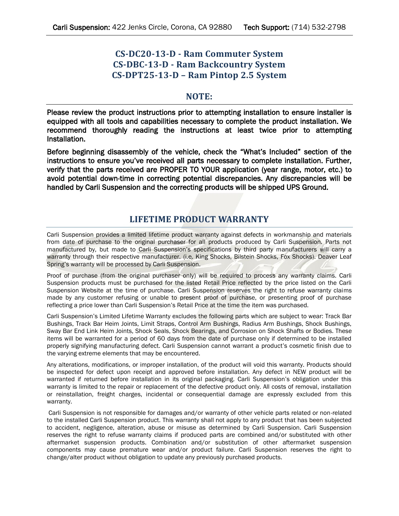# **CS-DC20-13-D - Ram Commuter System CS-DBC-13-D - Ram Backcountry System CS-DPT25-13-D – Ram Pintop 2.5 System**

### **NOTE:**

Please review the product instructions prior to attempting installation to ensure installer is equipped with all tools and capabilities necessary to complete the product installation. We recommend thoroughly reading the instructions at least twice prior to attempting Installation.

Before beginning disassembly of the vehicle, check the "What's Included" section of the instructions to ensure you've received all parts necessary to complete installation. Further, verify that the parts received are PROPER TO YOUR application (year range, motor, etc.) to avoid potential down-time in correcting potential discrepancies. Any discrepancies will be handled by Carli Suspension and the correcting products will be shipped UPS Ground.

## **LIFETIME PRODUCT WARRANTY**

Carli Suspension provides a limited lifetime product warranty against defects in workmanship and materials from date of purchase to the original purchaser for all products produced by Carli Suspension. Parts not manufactured by, but made to Carli Suspension's specifications by third party manufacturers will carry a warranty through their respective manufacturer. (i.e. King Shocks, Bilstein Shocks, Fox Shocks). Deaver Leaf Spring's warranty will be processed by Carli Suspension.

Proof of purchase (from the original purchaser only) will be required to process any warranty claims. Carli Suspension products must be purchased for the listed Retail Price reflected by the price listed on the Carli Suspension Website at the time of purchase. Carli Suspension reserves the right to refuse warranty claims made by any customer refusing or unable to present proof of purchase, or presenting proof of purchase reflecting a price lower than Carli Suspension's Retail Price at the time the item was purchased.

Carli Suspension's Limited Lifetime Warranty excludes the following parts which are subject to wear: Track Bar Bushings, Track Bar Heim Joints, Limit Straps, Control Arm Bushings, Radius Arm Bushings, Shock Bushings, Sway Bar End Link Heim Joints, Shock Seals, Shock Bearings, and Corrosion on Shock Shafts or Bodies. These items will be warranted for a period of 60 days from the date of purchase only if determined to be installed properly signifying manufacturing defect. Carli Suspension cannot warrant a product's cosmetic finish due to the varying extreme elements that may be encountered.

Any alterations, modifications, or improper installation, of the product will void this warranty. Products should be inspected for defect upon receipt and approved before installation. Any defect in NEW product will be warranted if returned before installation in its original packaging. Carli Suspension's obligation under this warranty is limited to the repair or replacement of the defective product only. All costs of removal, installation or reinstallation, freight charges, incidental or consequential damage are expressly excluded from this warranty.

Carli Suspension is not responsible for damages and/or warranty of other vehicle parts related or non-related to the installed Carli Suspension product. This warranty shall not apply to any product that has been subjected to accident, negligence, alteration, abuse or misuse as determined by Carli Suspension. Carli Suspension reserves the right to refuse warranty claims if produced parts are combined and/or substituted with other aftermarket suspension products. Combination and/or substitution of other aftermarket suspension components may cause premature wear and/or product failure. Carli Suspension reserves the right to change/alter product without obligation to update any previously purchased products.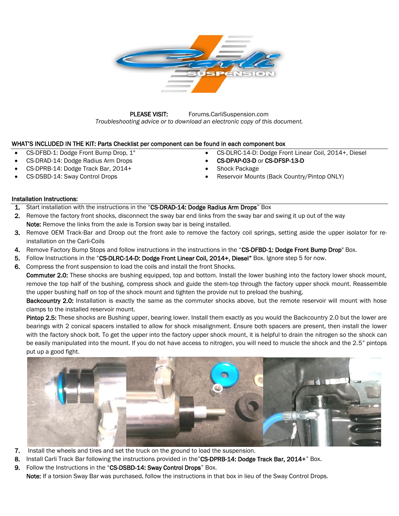

PLEASE VISIT: Forums.CarliSuspension.com *Troubleshooting advice or to download an electronic copy of this document.* 

### WHAT'S INCLUDED IN THE KIT: Parts Checklist per component can be found in each component box

- CS-DFBD-1: Dodge Front Bump Drop, 1"
- CS-DRAD-14: Dodge Radius Arm Drops
- CS-DPRB-14: Dodge Track Bar, 2014+
- CS-DSBD-14: Sway Control Drops
- CS-DLRC-14-D: Dodge Front Linear Coil, 2014+, Diesel
- CS-DPAP-03-D or CS-DFSP-13-D
- Shock Package
- Reservoir Mounts (Back Country/Pintop ONLY)

### Installation Instructions:

- 1. Start installation with the instructions in the "CS-DRAD-14: Dodge Radius Arm Drops" Box
- 2. Remove the factory front shocks, disconnect the sway bar end links from the sway bar and swing it up out of the way Note: Remove the links from the axle is Torsion sway bar is being installed.
- 3. Remove OEM Track-Bar and Droop out the front axle to remove the factory coil springs, setting aside the upper isolator for reinstallation on the Carli-Coils
- 4. Remove Factory Bump Stops and follow instructions in the instructions in the "CS-DFBD-1: Dodge Front Bump Drop" Box.
- 5. Follow Instructions in the "CS-DLRC-14-D: Dodge Front Linear Coil, 2014+, Diesel" Box. Ignore step 5 for now.
- 6. Compress the front suspension to load the coils and install the front Shocks.

Commuter 2.0: These shocks are bushing equipped, top and bottom. Install the lower bushing into the factory lower shock mount, remove the top half of the bushing, compress shock and guide the stem-top through the factory upper shock mount. Reassemble the upper bushing half on top of the shock mount and tighten the provide nut to preload the bushing.

Backcountry 2.0: Installation is exactly the same as the commuter shocks above, but the remote reservoir will mount with hose clamps to the installed reservoir mount.

Pintop 2.5: These shocks are Bushing upper, bearing lower. Install them exactly as you would the Backcountry 2.0 but the lower are bearings with 2 conical spacers installed to allow for shock misalignment. Ensure both spacers are present, then install the lower with the factory shock bolt. To get the upper into the factory upper shock mount, it is helpful to drain the nitrogen so the shock can be easily manipulated into the mount. If you do not have access to nitrogen, you will need to muscle the shock and the 2.5" pintops put up a good fight.



- 7. Install the wheels and tires and set the truck on the ground to load the suspension.
- 8. Install Carli Track Bar following the instructions provided in the"CS-DPRB-14: Dodge Track Bar, 2014+" Box.
- 9. Follow the Instructions in the "CS-DSBD-14: Sway Control Drops" Box.

Note: If a torsion Sway Bar was purchased, follow the instructions in that box in lieu of the Sway Control Drops.